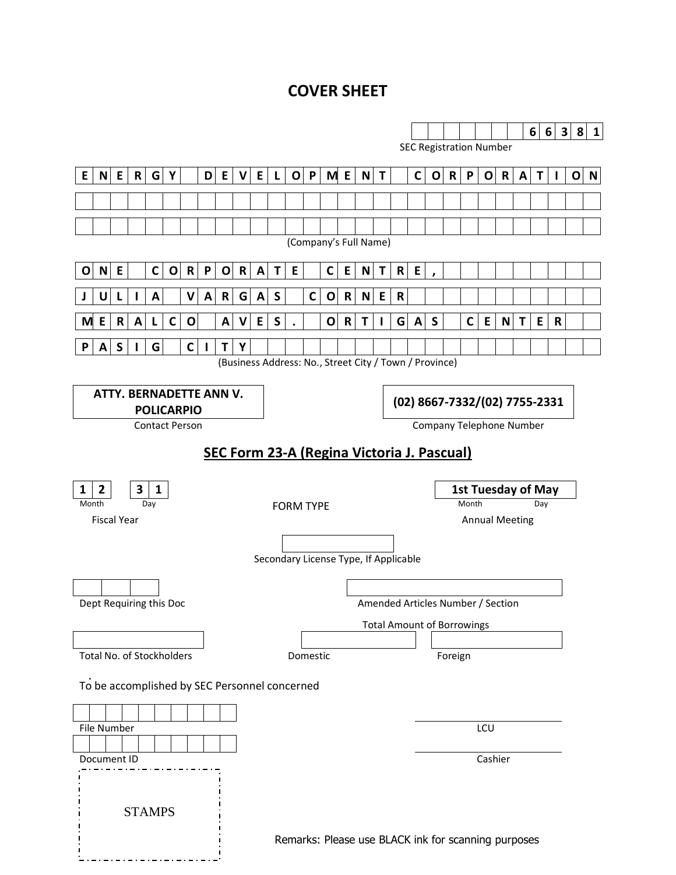# **COVER SHEET**

|                                                        |                                                        |                                       |                                  |                                                     |                                | 6 <sup>1</sup><br>$6 \overline{6}$ | $\vert$ 3<br>8<br>$\mathbf{1}$ |
|--------------------------------------------------------|--------------------------------------------------------|---------------------------------------|----------------------------------|-----------------------------------------------------|--------------------------------|------------------------------------|--------------------------------|
|                                                        |                                                        |                                       |                                  | <b>SEC Registration Number</b>                      |                                |                                    |                                |
| G Y<br>E<br>E<br>$\mathbf R$<br>D<br><b>N</b>          | E<br>$\mathsf{V}$<br>E<br>L                            | $\mathsf{P}$<br>M E<br>$\mathbf{o}$   | <b>N</b><br>$\mathbf T$          | C<br>R<br>0                                         | $\mathsf{R}$<br>P<br>O         | T<br>A                             | $\mathsf{N}$<br> 0             |
|                                                        |                                                        |                                       |                                  |                                                     |                                |                                    |                                |
|                                                        |                                                        |                                       |                                  |                                                     |                                |                                    |                                |
|                                                        |                                                        | (Company's Full Name)                 |                                  |                                                     |                                |                                    |                                |
| E<br>$\mathbf R$<br>$\mathsf{P}$<br>N<br>C<br>O<br>O   | $\mathbf o$<br>R<br>A<br>T                             | E<br>C                                | $E_{\parallel}$<br><b>N</b><br>T | R<br>E<br>$\lambda$                                 |                                |                                    |                                |
| V<br>L<br>A<br>A<br>U                                  | $\mathsf{R}$<br>G<br>$\mathsf S$<br>A                  | $\mathsf{C}$<br>O                     | R<br>E<br><b>N</b>               | R                                                   |                                |                                    |                                |
| E<br>R<br>$\mathbf c$<br>$\mathbf 0$<br>A<br>M<br>L    | E.<br>$\mathsf{s}$<br>A<br>$\mathsf{V}$                | $\mathbf{o}$                          | R<br>T<br>$\blacksquare$         | $\mathsf S$<br>$G$ A                                | $\mathbf C$<br>E<br>N          | T<br>E                             | R                              |
| $\mathsf{S}$<br>G<br>$\mathsf{C}$<br>P<br>A<br>-1<br>ı | Y<br>т                                                 |                                       |                                  |                                                     |                                |                                    |                                |
|                                                        | (Business Address: No., Street City / Town / Province) |                                       |                                  |                                                     |                                |                                    |                                |
| ATTY. BERNADETTE ANN V.                                |                                                        |                                       |                                  | (02) 8667-7332/(02) 7755-2331                       |                                |                                    |                                |
| <b>POLICARPIO</b><br><b>Contact Person</b>             |                                                        |                                       |                                  |                                                     | Company Telephone Number       |                                    |                                |
|                                                        |                                                        |                                       |                                  |                                                     |                                |                                    |                                |
|                                                        | <b>SEC Form 23-A (Regina Victoria J. Pascual)</b>      |                                       |                                  |                                                     |                                |                                    |                                |
| $\overline{2}$<br>3<br>$\mathbf{1}$<br>1               |                                                        |                                       |                                  |                                                     | <b>1st Tuesday of May</b>      |                                    |                                |
| Month<br>Day<br><b>Fiscal Year</b>                     |                                                        | <b>FORM TYPE</b>                      |                                  |                                                     | Month<br><b>Annual Meeting</b> | Day                                |                                |
|                                                        |                                                        |                                       |                                  |                                                     |                                |                                    |                                |
|                                                        |                                                        | Secondary License Type, If Applicable |                                  |                                                     |                                |                                    |                                |
|                                                        |                                                        |                                       |                                  |                                                     |                                |                                    |                                |
| Dept Requiring this Doc                                |                                                        |                                       |                                  | Amended Articles Number / Section                   |                                |                                    |                                |
|                                                        |                                                        |                                       |                                  | <b>Total Amount of Borrowings</b>                   |                                |                                    |                                |
| Total No. of Stockholders                              |                                                        | Domestic                              |                                  |                                                     | Foreign                        |                                    |                                |
| To be accomplished by SEC Personnel concerned          |                                                        |                                       |                                  |                                                     |                                |                                    |                                |
|                                                        |                                                        |                                       |                                  |                                                     |                                |                                    |                                |
| File Number                                            |                                                        |                                       |                                  |                                                     | LCU                            |                                    |                                |
| Document ID                                            |                                                        |                                       |                                  |                                                     | Cashier                        |                                    |                                |
|                                                        |                                                        |                                       |                                  |                                                     |                                |                                    |                                |
|                                                        |                                                        |                                       |                                  |                                                     |                                |                                    |                                |
| <b>STAMPS</b>                                          |                                                        |                                       |                                  |                                                     |                                |                                    |                                |
|                                                        |                                                        |                                       |                                  | Remarks: Please use BLACK ink for scanning purposes |                                |                                    |                                |
|                                                        |                                                        |                                       |                                  |                                                     |                                |                                    |                                |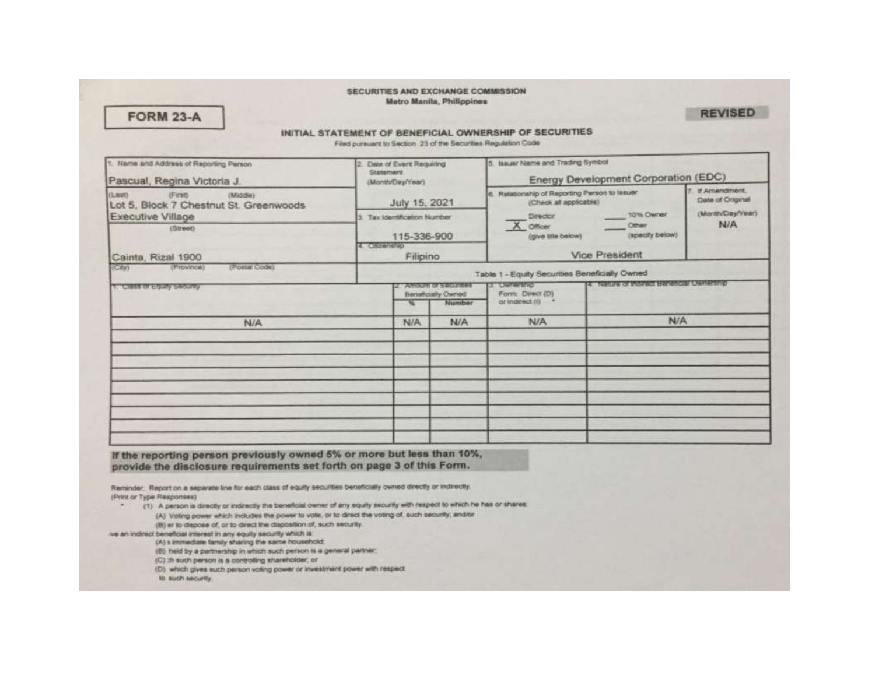### SECURITIES AND EXCHANGE COMMISSION Metro Manila, Philippines

# **FORM 23-A**

# **REVISED**

### INITIAL STATEMENT OF BENEFICIAL OWNERSHIP OF SECURITIES

Filed pursuant to Section 23 of the Securities Regulation Code

| 1. Name and Address of Reporting Person<br>Pascual, Regina Victoria J.    |                                                | 2. Date of Event Requiring<br>Statement<br>(Month/Day/Year)          |                                                                         | 5. Issuer Name and Trading Symbol<br>Energy Development Corporation (EDC) |                                            |                                |  |  |
|---------------------------------------------------------------------------|------------------------------------------------|----------------------------------------------------------------------|-------------------------------------------------------------------------|---------------------------------------------------------------------------|--------------------------------------------|--------------------------------|--|--|
| (144, 1)<br>(First)<br>(Middle)<br>Lot 5, Block 7 Chestnut St. Greenwoods | July 15, 2021                                  |                                                                      | 6. Relationship of Reporting Person to Issuer<br>(Check all applicable) |                                                                           | 7. if Amendment.<br>Date of Original       |                                |  |  |
| <b>Executive Village</b><br><b>ISVeeD</b>                                 |                                                | 3. Tax Identification Number<br>115-336-900                          |                                                                         | Director.<br>X Officer<br>(give title below)                              | 10% Owner<br>Other<br>(specify below)      | (Month/Day/Year)<br><b>N/A</b> |  |  |
| Cainta, Rizal 1900                                                        | 4. Cilizenship<br>Filipino                     |                                                                      | Vice President                                                          |                                                                           |                                            |                                |  |  |
| (Province)<br>(Postal Code)<br>(Cky)                                      | Table 1 - Equity Securities Beneficially Owned |                                                                      |                                                                         |                                                                           |                                            |                                |  |  |
| 1. Client of Equity Security                                              |                                                | <b>Z. Amount of Securities</b><br>Beneficially Owned<br>Number<br>×. |                                                                         | <b>A UNITED ROLL</b><br>Form: Direct (D)<br>or indirect (i) +             | 14 Nature of Indirect Beneficial Damership |                                |  |  |
| N/A                                                                       |                                                | N/A                                                                  | <b>N/A</b>                                                              | <b>N/A</b>                                                                | <b>N/A</b>                                 |                                |  |  |
|                                                                           |                                                |                                                                      |                                                                         |                                                                           |                                            |                                |  |  |
|                                                                           |                                                |                                                                      |                                                                         |                                                                           |                                            |                                |  |  |
|                                                                           |                                                |                                                                      |                                                                         |                                                                           |                                            |                                |  |  |
|                                                                           |                                                |                                                                      |                                                                         |                                                                           |                                            |                                |  |  |

If the reporting person previously owned 5% or more but less than 10%, provide the disclosure requirements set forth on page 3 of this Form.

Reminder. Report on a separate line for each class of equity securities beneficially owned directly or indirectly. (Print or Type Responses)

- \* (1) A person is directly or indirectly the beneficial owner of any equity security with respect to which he has or shares.
	- (A) Vioting power which includes the power to vote, or to direct the voting of, such security; and/or
	- (B) ar to dispose of, or to direct the disposition of, such security.

ive an indirect beneficial interest in any equity security which is:

- (A) s immediate family sharing the same household; (B) held by a partnership in which such person is a general partner;
- (C) :h such person is a controlling shareholder, or
- (D) which gives such person voting power or investment power with respect
- to such security.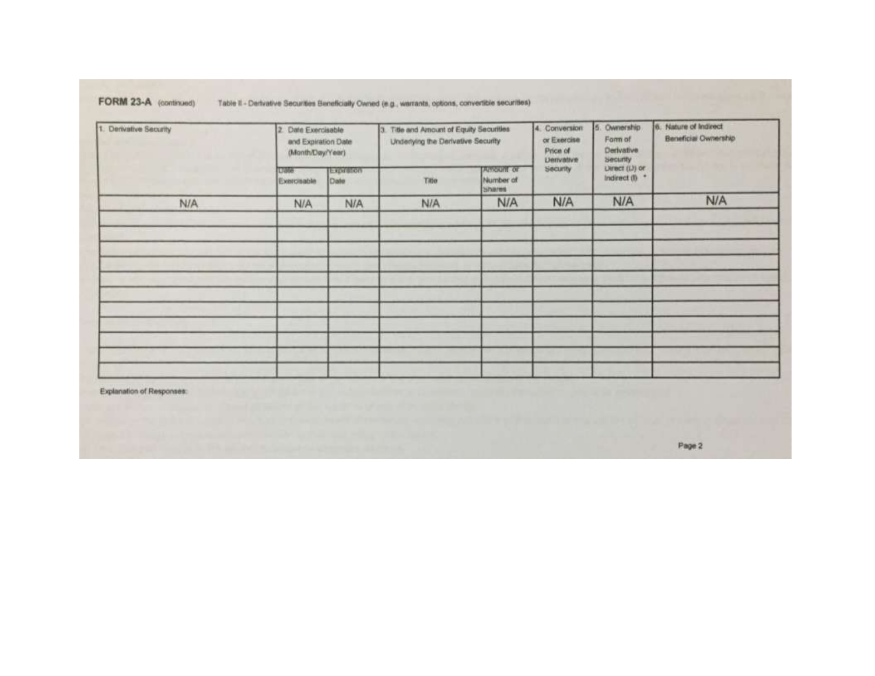| 1. Derivative Security<br>$\alpha$ | Date Exercisable<br>and Expiration Date<br>(Month/Day/Year) |                           | 3. Title and Amount of Equity Securities<br>Underlying the Derivative Security |                                         | 4. Conversion<br>or Exercise<br>Price of<br><b>Denvative</b> | 5. Ownership<br>Form of<br>Derivative<br>Security<br>Direct (L)) or<br>Indirect (I) $+$ | 6. Nature of Indirect<br>Beneficial Ownership |  |
|------------------------------------|-------------------------------------------------------------|---------------------------|--------------------------------------------------------------------------------|-----------------------------------------|--------------------------------------------------------------|-----------------------------------------------------------------------------------------|-----------------------------------------------|--|
|                                    | <b>Uale</b><br>Exercisable                                  | <b>Expiration</b><br>Date | Title                                                                          | <b>Amount</b> or<br>Number of<br>Shares | Security                                                     |                                                                                         |                                               |  |
| <b>N/A</b>                         | N/A                                                         | <b>N/A</b>                | N/A                                                                            | <b>N/A</b>                              | <b>N/A</b>                                                   | <b>N/A</b>                                                                              | N/A                                           |  |
|                                    |                                                             |                           |                                                                                |                                         |                                                              |                                                                                         |                                               |  |
|                                    |                                                             |                           |                                                                                |                                         |                                                              |                                                                                         |                                               |  |
|                                    |                                                             |                           |                                                                                |                                         |                                                              |                                                                                         |                                               |  |
|                                    |                                                             |                           |                                                                                |                                         |                                                              |                                                                                         |                                               |  |
|                                    |                                                             |                           |                                                                                |                                         |                                                              |                                                                                         |                                               |  |
|                                    |                                                             |                           |                                                                                |                                         |                                                              |                                                                                         |                                               |  |

FORM 23-A (continued) Table II - Derivative Securities Beneficially Owned (e.g., warrants, options, convertible securities)

Explanation of Responses:

Page 2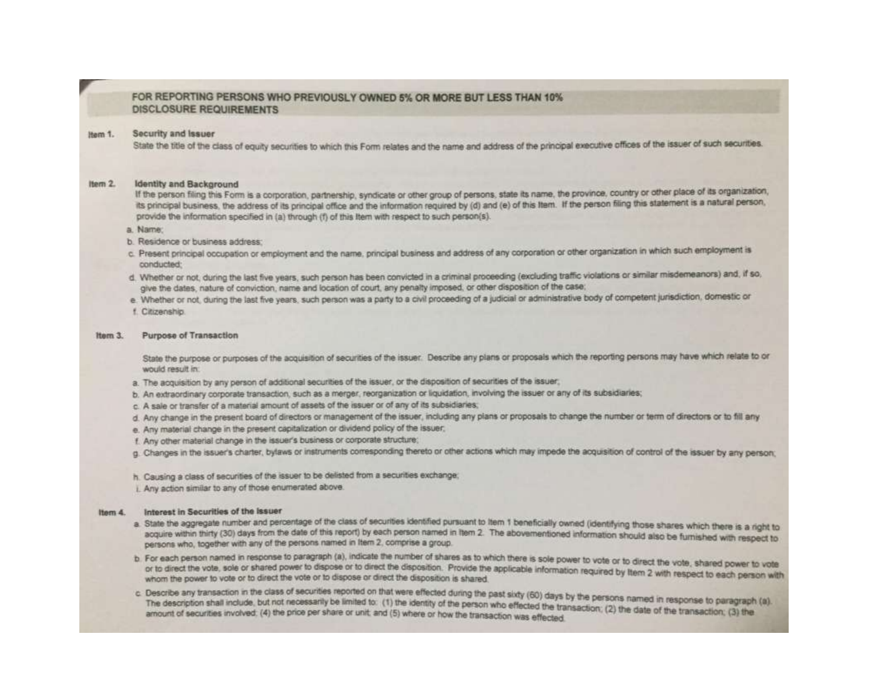### FOR REPORTING PERSONS WHO PREVIOUSLY OWNED 5% OR MORE BUT LESS THAN 10% DISCLOSURE REQUIREMENTS

#### Security and Issuer Item 1.

State the title of the class of equity securities to which this Form relates and the name and address of the principal executive offices of the issuer of such securities.

#### Item 2. **Identity and Background**

If the person filing this Form is a corporation, partnership, syndicate or other group of persons, state its name, the province, country or other place of its organization, its principal business, the address of its principal office and the information required by (d) and (e) of this Item. If the person filing this statement is a natural person, provide the information specified in (a) through (f) of this Item with respect to such person(s).

a. Name:

- b. Residence or business address:
- c. Present principal occupation or employment and the name, principal business and address of any corporation or other organization in which such employment is conducted:
- d. Whether or not, during the last five years, such person has been convicted in a criminal proceeding (excluding traffic violations or similar misdemeanors) and, if so, give the dates, nature of conviction, name and location of court, any penalty imposed, or other disposition of the case;
- e. Whether or not, during the last five years, such person was a party to a civil proceeding of a judicial or administrative body of competent jurisdiction, domestic or f. Citizenship.

#### Item 3. **Purpose of Transaction**

State the purpose or purposes of the acquisition of securities of the issuer. Describe any plans or proposals which the reporting persons may have which relate to or would result in:

- a. The acquisition by any person of additional securities of the issuer, or the disposition of securities of the issuer,
- b. An extraordinary corporate transaction, such as a merger, reorganization or liquidation, involving the issuer or any of its subsidiaries;
- c. A sale or transfer of a material amount of assets of the issuer or of any of its subsidiaries;
- d. Any change in the present board of directors or management of the issuer, including any plans or proposals to change the number or term of directors or to fill any
- e. Any material change in the present capitalization or dividend policy of the issuer,
- f. Any other material change in the issuer's business or corporate structure;
- g. Changes in the issuer's charter, bylaws or instruments corresponding thereto or other actions which may impede the acquisition of control of the issuer by any person;
- h. Causing a class of securities of the issuer to be delisted from a securities exchange;
- i. Any action similar to any of those enumerated above.

#### Interest in Securities of the Issuer Item 4.

- a State the aggregate number and percentage of the class of securities identified pursuant to Item 1 beneficially owned (identifying those shares which there is a right to acquire within thirty (30) days from the date of this report) by each person named in Item 2. The abovementioned information should also be furnished with respect to persons who, together with any of the persons named in Item 2, comprise a group.
- b. For each person named in response to paragraph (a), indicate the number of shares as to which there is sole power to vote or to direct the vote, shared power to vote or to direct the vote, sole or shared power to dispose or to direct the disposition. Provide the applicable information required by Item 2 with respect to each person with whom the power to vote or to direct the vote or to dispose or direct the disposition is shared.
- c. Describe any transaction in the class of securities reported on that were effected during the past sixty (60) days by the persons named in response to paragraph (a). Description shall include, but not necessarily be limited to: (1) the identity of the person who effected the transaction; (2) the date of the transaction; (3) the amount of securities involved; (4) the price per share or unit; and (5) where or how the transaction was effected.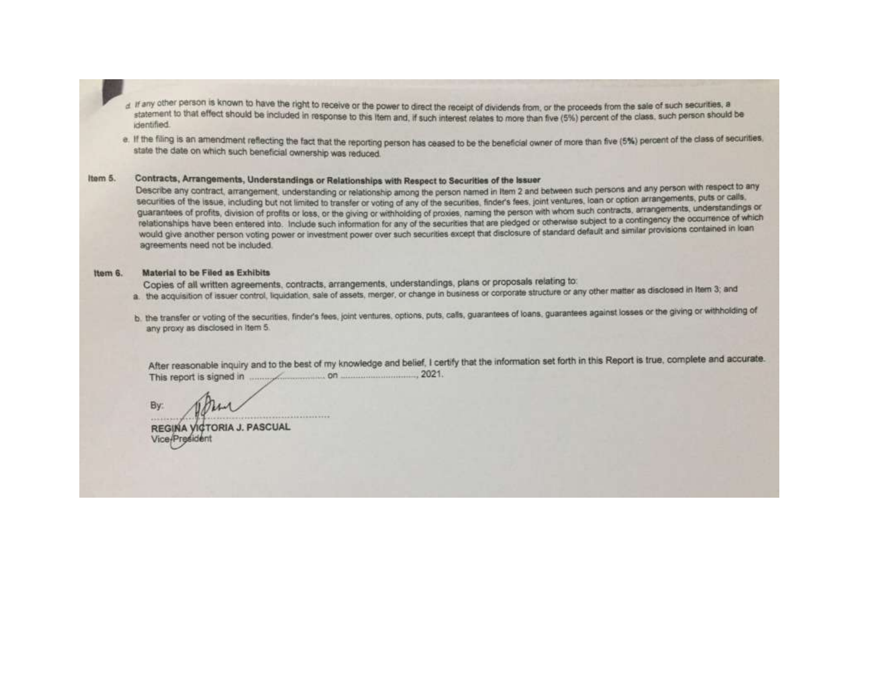of any other person is known to have the right to receive or the power to direct the receipt of dividends from, or the proceeds from the sale of such securities, a statement to that effect should be included in response to this Item and, if such interest relates to more than five (5%) percent of the class, such person should be identified.

e. If the filing is an amendment reflecting the fact that the reporting person has ceased to be the beneficial owner of more than five (5%) percent of the class of securities, state the date on which such beneficial ownership was reduced.

#### Item 5. Contracts, Arrangements, Understandings or Relationships with Respect to Securities of the Issuer

Describe any contract, arrangement, understanding or relationship among the person named in Item 2 and between such persons and any person with respect to any securities of the issue, including but not limited to transfer or voting of any of the securities, finder's fees, joint ventures, loan or option arrangements, puts or calls. guarantees of profits, division of profits or loss, or the giving or withholding of proxies, naming the person with whom such contracts, arrangements, understandings or relationships have been entered into. Include such information for any of the securities that are pledged or otherwise subject to a contingency the occurrence of which would give another person voting power or investment power over such securities except that disclosure of standard default and similar provisions contained in loan agreements need not be included.

#### Item 6. Material to be Filed as Exhibits

Copies of all written agreements, contracts, arrangements, understandings, plans or proposals relating to:

- a. the acquisition of issuer control, liquidation, sale of assets, merger, or change in business or corporate structure or any other matter as disclosed in Item 3; and
- b. the transfer or voting of the securities, finder's fees, joint ventures, options, puts, calls, guarantees of loans, guarantees against losses or the giving or withholding of any proxy as disclosed in Item 5.

After reasonable inquiry and to the best of my knowledge and belief, I certify that the information set forth in this Report is true, complete and accurate. 

By: REGINA VICTORIA J. PASCUAL Vice/President